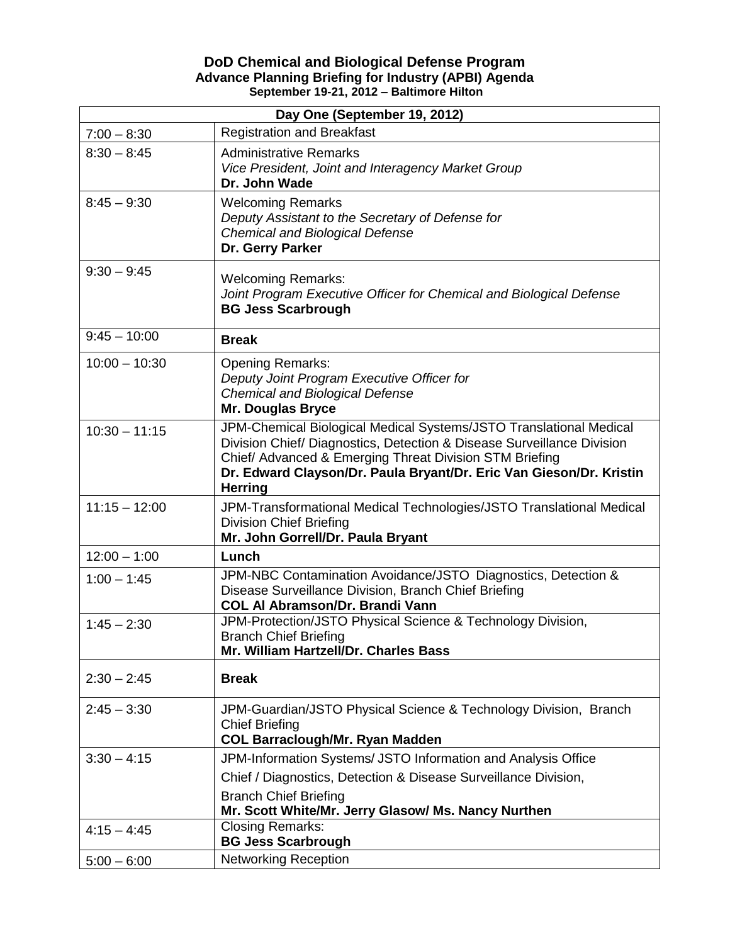## **DoD Chemical and Biological Defense Program Advance Planning Briefing for Industry (APBI) Agenda September 19-21, 2012 – Baltimore Hilton**

| Day One (September 19, 2012) |                                                                                                                                                                                                                                                                                                  |  |
|------------------------------|--------------------------------------------------------------------------------------------------------------------------------------------------------------------------------------------------------------------------------------------------------------------------------------------------|--|
| $7:00 - 8:30$                | <b>Registration and Breakfast</b>                                                                                                                                                                                                                                                                |  |
| $8:30 - 8:45$                | <b>Administrative Remarks</b><br>Vice President, Joint and Interagency Market Group<br>Dr. John Wade                                                                                                                                                                                             |  |
| $8:45 - 9:30$                | <b>Welcoming Remarks</b><br>Deputy Assistant to the Secretary of Defense for<br><b>Chemical and Biological Defense</b><br>Dr. Gerry Parker                                                                                                                                                       |  |
| $9:30 - 9:45$                | <b>Welcoming Remarks:</b><br>Joint Program Executive Officer for Chemical and Biological Defense<br><b>BG Jess Scarbrough</b>                                                                                                                                                                    |  |
| $9:45 - 10:00$               | <b>Break</b>                                                                                                                                                                                                                                                                                     |  |
| $10:00 - 10:30$              | <b>Opening Remarks:</b><br>Deputy Joint Program Executive Officer for<br><b>Chemical and Biological Defense</b><br><b>Mr. Douglas Bryce</b>                                                                                                                                                      |  |
| $10:30 - 11:15$              | JPM-Chemical Biological Medical Systems/JSTO Translational Medical<br>Division Chief/ Diagnostics, Detection & Disease Surveillance Division<br>Chief/ Advanced & Emerging Threat Division STM Briefing<br>Dr. Edward Clayson/Dr. Paula Bryant/Dr. Eric Van Gieson/Dr. Kristin<br><b>Herring</b> |  |
| $11:15 - 12:00$              | JPM-Transformational Medical Technologies/JSTO Translational Medical<br><b>Division Chief Briefing</b><br>Mr. John Gorrell/Dr. Paula Bryant                                                                                                                                                      |  |
| $12:00 - 1:00$               | Lunch                                                                                                                                                                                                                                                                                            |  |
| $1:00 - 1:45$                | JPM-NBC Contamination Avoidance/JSTO Diagnostics, Detection &<br>Disease Surveillance Division, Branch Chief Briefing<br><b>COL AI Abramson/Dr. Brandi Vann</b>                                                                                                                                  |  |
| $1:45 - 2:30$                | JPM-Protection/JSTO Physical Science & Technology Division,<br><b>Branch Chief Briefing</b><br>Mr. William Hartzell/Dr. Charles Bass                                                                                                                                                             |  |
| $2:30 - 2:45$                | <b>Break</b>                                                                                                                                                                                                                                                                                     |  |
| $2:45 - 3:30$                | JPM-Guardian/JSTO Physical Science & Technology Division, Branch<br><b>Chief Briefing</b><br><b>COL Barraclough/Mr. Ryan Madden</b>                                                                                                                                                              |  |
| $3:30 - 4:15$                | JPM-Information Systems/ JSTO Information and Analysis Office<br>Chief / Diagnostics, Detection & Disease Surveillance Division,<br><b>Branch Chief Briefing</b><br>Mr. Scott White/Mr. Jerry Glasow/ Ms. Nancy Nurthen                                                                          |  |
| $4:15 - 4:45$                | <b>Closing Remarks:</b><br><b>BG Jess Scarbrough</b>                                                                                                                                                                                                                                             |  |
| $5:00 - 6:00$                | <b>Networking Reception</b>                                                                                                                                                                                                                                                                      |  |